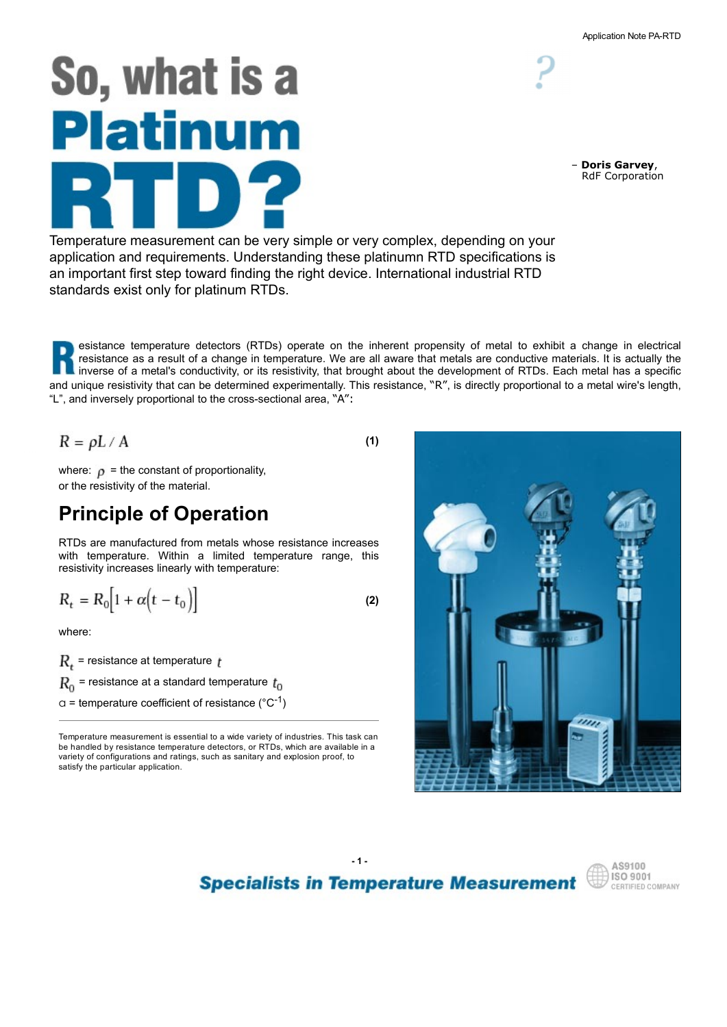# So, what is a Platinum

Temperature measurement can be very simple or very complex, depending on your application and requirements. Understanding these platinumn RTD specifications is an important first step toward finding the right device. International industrial RTD standards exist only for platinum RTDs.

esistance temperature detectors (RTDs) operate on the inherent propensity of metal to exhibit a change in electrical resistance as a result of a change in temperature. We are all aware that metals are conductive materials. It is actually the **I** inverse of a metal's conductivity, or its resistivity, that brought about the development of RTDs. Each metal has a specific and unique resistivity that can be determined experimentally. This resistance, "R", is directly proportional to a metal wire's length, "L", and inversely proportional to the cross-sectional area, "A":

$$
R = \rho L / A
$$

where:  $\rho$  = the constant of proportionality, or the resistivity of the material.

# Principle of Operation

RTDs are manufactured from metals whose resistance increases resistivity increases linearly with temperature:

$$
R_t = R_0 \Big[ 1 + \alpha \Big( t - t_0 \Big) \Big] \tag{2}
$$

where:

 $R_{+}$  = resistance at temperature  $t$  $R_0$  = resistance at a standard temperature  $t_0$  $a$  = temperature coefficient of resistance (°C<sup>-1</sup>)

Temperature measurement is essential to a wide variety of industries. This task can be handled by resistance temperature detectors, or RTDs, which are available in a variety of configurations and ratings, such as sanitary and explosion proof, to satisfy the particular application.







– Doris Garvey, RdF Corporation

(1)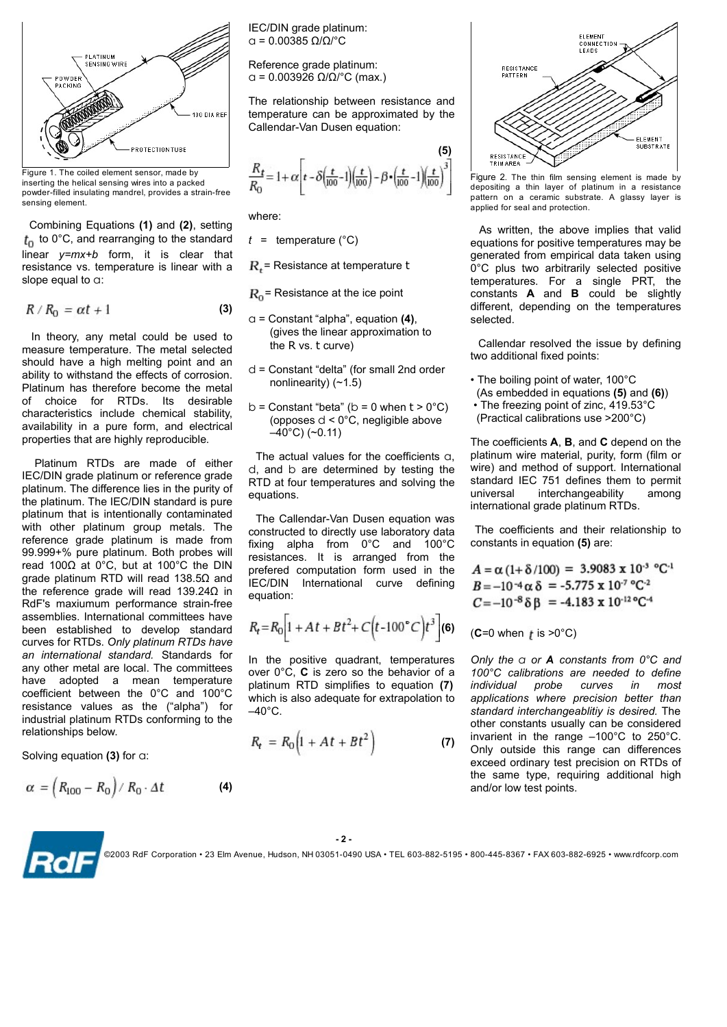

Figure 1. The coiled element sensor, made by inserting the helical sensing wires into a packed powder-filled insulating mandrel, provides a strain-free sensing element.

 Combining Equations (1) and (2), setting  $t_0$  to 0°C, and rearranging to the standard resistance vs. temperature is linear with a slope equal to a:

$$
R/R_0 = \alpha t + 1 \tag{3}
$$

measure temperature. The metal selected should have a high melting point and an ability to withstand the effects of corrosion. Platinum has therefore become the metal Figure 1. The collections constant is detected.<br>
The relationship between resistance and<br>
Equivariant in collections and determined by the collections of the set and callendar-Van Dusen equation:<br>
Figure 1. The collection The relationship between resistance and the properties that is entergy and the content and the meaning meaning where the content and the meaning meaning the stability in a packed of the content state in the content state **Example the state of the content of the content of the state of the state of the state of the state of the state of the state of the state of the state of the state of the state of the state of the state of the state of** properties that are highly reproducible. **Example the control of the solen are form and the solen are made to the solen are made of either are made of either**  $R/R_0 = \text{art} + 1$  **(a)**  $R_0 = \text{Rst} + \text{Rst}$  **(Fig. 1)**  $\frac{R_0}{(R_0 + 1)(100)}$  **(Fig. 1)**  $\frac{R_0}{(R_0 + 1)(100)}$  **(F** 

IEC/DIN grade platinum or reference grade platinum. The difference lies in the purity of the platinum. The IEC/DIN standard is pure platinum that is intentionally contaminated Combining Equations (1) and (2), setting where:<br>  $R_0 = 60^\circ C_0$ , and rearranging to the standard  $t =$  temperature (<sup>n</sup>C) as whiten, the above im-<br>
timear y=my+b form, it is clear that<br>
timear y=my+b form, it is clear that Combining Equations (1) and (2), esting<br>  $\ell_0$  to orce, and rearranging to the standard  $t =$  temperature (°C) and rearranging to the standard  $t =$  temperature of computer is linear with a<br>
since  $\ell_0$  temperature is lin reference grade platinum is made from fixing alpha from 0°C and 100°C<br>99.999+% pure platinum. Both probes will resistances. It is arranged from the read 100Ω at 0°C, but at 100°C the DIN prefered computation form used in the grade platinum RTD will read 138.5Ω and **IEC/DIN** International curve defining the reference grade will read 139.24Ω in RdF's maxiumum performance strain-free assemblies. International committees have  $P \cdot N_0 = Ut + 1$ <br>
In theory, any metal could be used to  $(9^{10} \text{m}) = 5^{\circ}$  constant "alpha", equation (4),<br>
In theory, any metal could be used to  $(9^{10} \text{m}) = 5^{\circ}$  constant "delta" (for small 2nd order constant measure curves for RTDs. Only platinum RTDs have in means there is a mean of the issue of the standard in the point of the international for the international of the standard international content in the point of the standard international content in the standard intern an international standard. Standards for  $\frac{1}{2}$  in the positive quadrant, temperatures any other metal are local. The committees  $\frac{1}{2}$  over  $0^\circ$  C is zero so the behavior of a should nave a night method band and a state of small and order<br>ability to withstand the effects become the metal are consistent "elatinum has therefore become the metal and the consistent of  $\sim 40^{\circ}$ C) (As embedded in ability outmraned preceding the energy of the between the method of values of  $\sigma$  (The set in detection of values of the coefficient between the method of the coefficients is determined by the account of the coefficients Framinm nas meretore oscienting the metal<br>
of choice for RTDs. Its desirable equations that  $\alpha$  (Sepembed in equations availability in a pure form, and electrical<br>
choracteristic include chemical stability.<br>
availability industrial platinum RTDs conforming to the relationships below.

Solving equation (3) for a:

$$
\alpha = \left(R_{100} - R_0\right) / R_0 \cdot \Delta t \tag{4}
$$

IEC/DIN grade platinum:

Reference grade platinum:  $\alpha$  = 0.003926 Ω/Ω/°C (max.)<br>  $\alpha$  = 0.003926 Ω/Ω/°C (max.)

The relationship between resistance and temperature can be approximated by the Callendar-Van Dusen equation:

$$
\frac{R_t}{R_0} = 1 + \alpha \left[ t - \delta \left( \frac{t}{100} - 1 \right) \left( \frac{t}{100} \right) - \beta \cdot \left( \frac{t}{100} - 1 \right) \left( \frac{t}{100} \right)^3 \right]
$$

where:

 $t =$  temperature (°C)

- $a =$  Constant "alpha", equation (4). (gives the linear approximation to the R vs. t curve)
- d = Constant "delta" (for small 2nd order nonlinearity) (~1.5)
- b = Constant "beta" ( $b = 0$  when  $t > 0$ °C) (opposes d < 0°C, negligible above  $-40^{\circ}$ C) (~0.11)

 The actual values for the coefficients a, d, and b are determined by testing the RTD at four temperatures and solving the standard IEC 751 defines ther<br>
universal interchangeability equations.

 The Callendar-Van Dusen equation was constructed to directly use laboratory data  $R_r$  = Resistance at temperature to the computation form primical data laten using<br>  $R_o$  = Resistance at the ice point<br>
to resistance the computation of the computations. For a single PRT, the<br>
(gives the linear approxima  $R_x$  = Resistance at temperature t or C plus two arbitrarity selected positive<br>  $R_0$  = Resistance at the ice point constants **A** and **B** could be slightly<br>
of = Constant "alpha", equation (4), different. **A** and **B** coul equation: the R vs. t curve)<br>  $\frac{1}{2}$  called range resident in the positive differential fixed points:<br>
the andiformal fixed points:<br>
the bolling point of vater, 100°C<br>  $\frac{1}{2}$  containt "beta" (b = 0 when t > 0°C)<br>  $\rightarrow$  The fre

$$
R_t = R_0 \left[ 1 + At + Bt^2 + C(t - 100\degree C)t^3 \right] \textbf{(6)}
$$

 $-40^{\circ}$ C.

$$
R_t = R_0 \Big( 1 + At + Bt^2 \Big) \tag{7}
$$



applied for seal and protection.

 $R_t$  = Resistance at temperature t  $\sigma^{\circ}$ C plus two arbitrarily selected positive  $R_0$  = Resistance at the ice point **Example 20** constants **A** and **B** could be slightly *t* = temperature (°C) As written, the above implies that valid<br>  $R_e$  = Resistance at temperature term operation mempirical data taken using<br>  $R_e$  = Resistance at the ice point<br>  $R_0$  = Resistance at the ice point<br>  $R_0$  *t* = temperature (°C) equations for positive temperatures any be<br>  $R_q$  = Resistance at temperature to  $R_0$  enerated from empiricial data taken using<br>  $R_q$  = Resistance at the ice point<br>  $R_0$  = Resistance at the ice poi As written, the above implies that valid equations for positive temperatures may be generated from empirical data taken using selected. Figure 2. The thin film sensing element is made by<br>depositing a thin layer of platinum in a resistance<br>pattern on a ceramic substrate. A glassy layer is<br>applied for seal and protection.<br>As written, the above implies that

 Callendar resolved the issue by defining two additional fixed points:

- The boiling point of water, 100°C
- (As embedded in equations (5) and (6))
- The freezing point of zinc, 419.53°C (Practical calibrations use >200°C)

The coefficients  $A$ ,  $B$ , and  $C$  depend on the platinum wire material, purity, form (film or wire) and method of support. International standard IEC 751 defines them to permit international grade platinum RTDs.

 The coefficients and their relationship to constants in equation (5) are:

$$
A = \alpha (1 + \delta/100) = 3.9083 \times 10^{-3} °C^{-1}
$$
  
\n
$$
B = -10^{-4} \alpha \delta = -5.775 \times 10^{-7} °C^{-2}
$$
  
\n
$$
C = -10^{-8} \delta \beta = -4.183 \times 10^{-12} °C^{-4}
$$

**(6)** (C=0 when  $t$  is >0°C)

over  $0^{\circ}$ C, C is zero so the behavior of a  $100^{\circ}$ C calibrations are needed to define platinum RTD simplifies to equation (7) *individual* probe curves in most d = Constant "delate "(or small 2nd order<br>
onolinearity) (-1.5)<br>
b = Constant "beta" (b = 0 when t > 0°C) are the bottled in equations (5) and (6))<br>
b = Constant "beta" (b = 0 when t > 0°C) are the cerefficients on the<br>
which is also adequate for extrapolation to applications where precision better than ( $\gamma$ ) invarient in the range  $-100^{\circ}$ C to 250 $^{\circ}$ C.<br>Only outside this range can differences Only the  $\alpha$  or A constants from  $0^{\circ}$ C and two additional fixed points:<br>
• The boiling point of water, 100°C<br>
(As embedded in equations (5) and (6))<br>
• The freezing point of zinc, 419.53°C<br>
(Practical calibrations use >200°C)<br>
11e coefficients **A**, **B**, and **C** de • The boiling point of water, 100°C<br>
(As embedded in equations (5) and (6))<br>
• The freezing point of zinc, 419.53°C<br>
(Practical calibrations use >200°C)<br>
The coefficients **A**, **B**, and **C** depend on the<br>
platium wire mate • The boung point of water, 100°C and<br>
(As embedded in equations (5) and (6))<br>
• The freezing point of zinc, 419.53°C<br>
(Practical calibrations use >200°C)<br>
The coefficients **A**, **B**, and **C** depend on the<br>
platinum wire m standard interchangeablitiy is desired. The other constants usually can be considered (Practical calibrations use >200°C)<br>The coefficients **A**, **B**, and **C** depend on the<br>wire) and method of support. International<br>standard IEC 751 defines them to permit<br>universal interchangeability among<br>international grad The coefficients **A**, **B**, and **C** depend on the platinum wire material, purity, form (film or wire) and method of support. International transitional universal conventional directions the platinum RTDs.<br>The coefficients exceed ordinary test precision on RTDs of plantiful wire intertial, putting the distance in the material, putting on the particular standard IEC 751 defines them to permit universal interchangeability among international grade platinum RTDs.<br>The coefficients and and/or low test points.

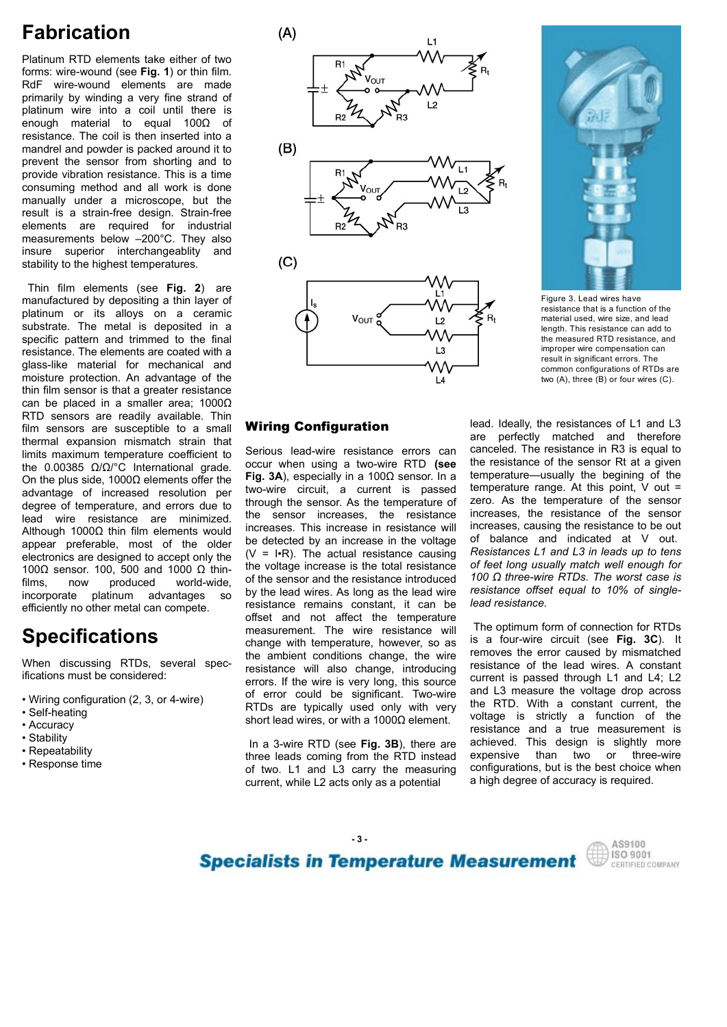# Fabrication

Platinum RTD elements take either of two forms: wire-wound (see Fig. 1) or thin film. primarily by winding a very fine strand of resistance. The coil is then inserted into a<br>mandrel and powder is packed around it to  $(B)$ mandrel and powder is packed around it to<br>prevent the sensor from shorting and to provide vibration resistance. This is a time consuming method and all work is done<br>manually under a microscope, but the stability to the highest temperatures.  $(C)$ 

manufactured by depositing a thin layer of<br>platinum or its alloys on a ceramic resistance. The elements are coated with a moisture protection. An advantage of the thin film sensor is that a greater resistance can be placed in a smaller area; 1000Ω limits maximum temperature coefficient to Serious lead-wire resistance errors can the  $0.00385 \Omega/\Omega$  C International grade. On the plus side, 1000Ω elements offer the Fig. 3A), especially in a 100Ω sensor. In a current is passed and the minimized resistance. This is a two-wife RID (see the resistance and the minimizal performance and the minimizal performance and the minimizal performance and the minimizal performance and the minimizal performanc degree of temperature, and errors due to through the sensor. As the temperature of lead wire resistance are minimized the sensor increases, the resistance manularly under a microscope. Dut the main and the mental wire resistance is required for industrial effective function and the main and the main and the main and the main and the main and the main and the main and the ma Although 1000Ω thin film elements would ementia are required in the olerais and the paper signal and the session of the older of the older of the older in the older of the older in the older of the older in the older of the older of the metal in the older of the electronics are designed to accept only the 100Ω sensor. 100, 500 and 1000 Ω thinstability to the ingless the person is considered by depositing a thin signs and because the mean of the substrate. The metal is deposited in a smaller and the matic published world-wide, and the substrate. The energies a Thin film elements (see Fig. 2) are<br>
maintafactured by dopositing a thin layer of the metal is deposited a main and figure 3. Lead to be<br>
alternation of the metal is deposited in a series than the metal is deposited in th

- 
- Self-heating
- Accuracy
- 
- Repeatability
- 





Figure 3. Lead wires have resistance that is a function of the material used, wire size, and lead length. This resistance can add to the measured RTD resistance, and improper wire compensation can result in significant errors. The common configurations of RTDs are two (A), three (B) or four wires (C).

efficiently no other metal can compete.<br>
efficiently no other metal can compete.<br>
offset and not affect the temperature **Specifications Specifications Specifications Specifications Specifications Specification Specification Specification Specification Specification Specification Specification Specification Specific** resistance. The elements are coated with the based of based and menoperaties are coated with a common complementation of the specific attical wise and the measurement of the specific attical specific attical specific attic When discussing RTDs, several spec-<br>ifications must be considered:<br> • Wiring configuration (2, 3, or 4-wire) of error could be significant. Two-wire<br>• Self-beating Fig. 3A), especially in a 1000 sensor. In a temperature—usually the begining of the through the sensor. As the temperature of zero. As the temperature of the sensor<br>the sensor increases, the resistance increases, the resistance of the sensor increases. This increase in resistance will increases, causing the resistance to be out be detected by an increase in the voltage of balance and indicated at V out. be detected by an increase in the voltage  $(V = I \cdot R)$ . The actual resistance causing the voltage increase is the total resistance of the sensor and the resistance introduced by the lead wires. As long as the lead wire resistance remains constant, it can be **Example 3.1.** Figure 3.1. The seal wine figure 3.1. The seal of the temperature of and the properties of the measure of a memorial of energy and the temperature of the seal of the seal of the seal of the seal of the seal Vour  $\frac{1}{2}$  with the mass and the mass and the mass and the mass and the mass and the mass and the mass and the mass and the mass and the mass and the mass and the mass and the mass and the mass and the mass and the ma change with temperature, however, so as is a four-wire circuit (see Fig. 3C). It The seasure of the seasure of the seasure of the seasure of the seasure of the seasure of the seasure of the meanu-<br>This memperature complement conditions change of the wire  $\mathbb{R}$  of the wire  $\mathbb{R}$  of the wire  $\mathbb{R$ **EXECTS CONSERVATIVE CONSERVATIVES**<br> **EXECTS AND INTEGRAL CONSERVATIVES**<br> **EXECTS AND CONTIGUAL CONSERVATIVES**<br> **EXECTS AND CONSERVATIVES**<br> **EXECTS CONSERVATIVES**<br> **EXECTS CONSERVATIVES**<br> **EXECTS CONSERVATIVES**<br> **EXECTS CO** errors. If the wire is very long, this source Let the view (A), three (B) or four wires (C).<br> **Wirring Configuration** are perfectly matched and therefore<br>
Serious lead-wire resistance errors can canceled. The resistances of L1 and L3<br>
Serious lead-wire resistance err **Wiring Configuration** lead. Ideally, the resistances of L1 and L3<br>Serious lead-wire resistance errors can canceled. The resistance iand therefore<br>occur when using a two-wire RTD (see the resistance of the sensor Rt at a **Wiring Configuration**<br>
wave lead wire resistance errors can canceled. The resistance of the and therefore<br>
Serious lead wire resistance errors can canceled. The resistance in R3 is equal to<br>
Sociar when using a two-wire R Senous lead-wire resistance effors can univered to the best and the best states. The distance of the best performed the measure of the sensor RI at a given Fig. 3A), especially in a 1000 sensor. In a temperature-usually t

• Stability<br>
In a 3-wire RTD (see Fig. 3B), there are • Response time<br>of two. L1 and L3 carry the measuring current, while L2 acts only as a potential

**Wiring Configuration** lead. Ideally, the resistances of L1 and L3<br>are perfectly matched and therefore lead. Ideally, the resistances of L1 and L3 canceled. The resistance in R3 is equal to the resistance of the sensor Rt at a given The set of the state of the state of the state of the state of the state of the measured RTD resistance and the measured RTD resistance, and lead the measured RTD resistance, and lead the measured RTD resistance, and resu temperature range. At this point, V out = Figure 3. Lead wires have<br>
Figure 3. Lead wires have<br>
resistance that is a function of the<br>
measured RTD resistance, and lead<br>
the measured RTD resistance can add to<br>
the measured RTD resistance can add to<br>
meroper wire c Figure 3. Lead wires have<br>resistance that is a function of the material used, wire size, and lead<br>the material used, wire size, and lead<br>the measured RTD resistance, and add<br>invergne wire compensation can<br>result in signifi increases, causing the resistance to be out Figure 3. Lead wires have<br>resistance that is a function of the<br>material used, wire size, and lead<br>tength. This resistance can add to<br>the measured RTD resistance, and lead<br>thrown wires the measured RTD resistance, and<br>commo Resistances L1 and L3 in leads up to tens of feet long usually match well enough for 100  $Ω$  three-wire RTDs. The worst case is resistance offset equal to 10% of singlelead resistance. ingularianses, we size, and easy of the measured RTD esistance can add to the measured RTD esistance can result in significant errors. The common configurations of RTDs are two (A), three (B) or four wires (C).<br>
lead. Idea Frequential in expression can<br>result in significant errors. The<br>common configurations of RTDs are<br>lead. Ideally, the resistances of L1 and L3<br>are perfectly matched and therefore<br>the resistance of the sensor R1 at a given<br> lead. Ideally, the resistances of L1 and L3<br>are perfectly matched and therefore<br>canceled. The resistance in R3 is equal to<br>the resistance of the sensor Rt at a given<br>temperature range. At this point, V out =<br>zero. As the lead. Ideally, the resistances of L1 and L3<br>are perfectly matched and therefore<br>canceled. The resistance in R3 is equal to<br>the resistance of the sensor R1 at a given<br>temperature—usually the begining of the<br>strenc. As the lead. Ideally, the resistances of L1 and L3<br>are perfectly matched and therefore<br>canceled. The resistance in R3 is equal to<br>the resistance of the sensor Rt at a given<br>temperature—usually the begining of the<br>temperature—usua lead. Ideally, the resistances or L1 and L3<br>are perfectly matched and therefore<br>canceled. The resistance in R3 is equal to<br>the resistance of the sensor Rt at a given<br>temperature—usually the begining of the<br>temperature ran are perectly matched and therefore and therefore<br>canceled. The resistance in R3 is equal to<br>the resistance of the sensor Rt at a given<br>temperature range. At this point, V out =<br>zero. As the temperature of the sensor<br>incre

short lead wires, or with a 1000Ω element.<br>Short lead wires, or with a 1000Ω element.<br>The sesistance and a true measurement is three leads coming from the RTD instead expensive than two or three-wire The optimum form of connection for RTDs removes the error caused by mismatched current is passed through L1 and L4; L2 and L3 measure the voltage drop across configurations, but is the best choice when a high degree of accuracy is required.

**Specialists in Temperature Measurement**